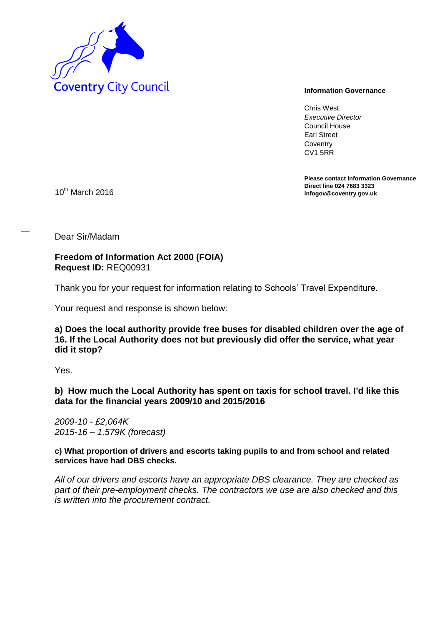

Chris West *Executive Director* Council House Earl Street **Coventry** CV1 5RR

**Please contact Information Governance Direct line 024 7683 3323** 10<sup>th</sup> March 2016

Dear Sir/Madam

**Freedom of Information Act 2000 (FOIA) Request ID:** REQ00931

Thank you for your request for information relating to Schools' Travel Expenditure.

Your request and response is shown below:

**a) Does the local authority provide free buses for disabled children over the age of 16. If the Local Authority does not but previously did offer the service, what year did it stop?** 

Yes.

**b) How much the Local Authority has spent on taxis for school travel. I'd like this data for the financial years 2009/10 and 2015/2016** 

*2009-10 - £2,064K 2015-16 – 1,579K (forecast)* 

**c) What proportion of drivers and escorts taking pupils to and from school and related services have had DBS checks.** 

*All of our drivers and escorts have an appropriate DBS clearance. They are checked as part of their pre-employment checks. The contractors we use are also checked and this is written into the procurement contract.*